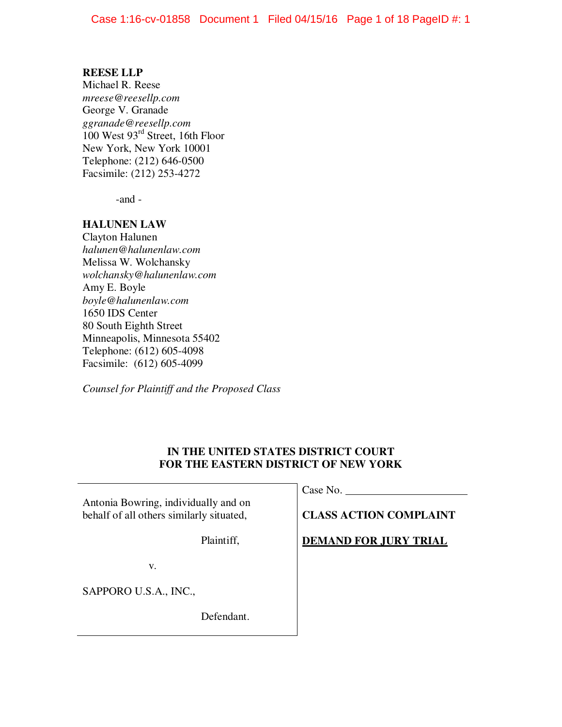# **REESE LLP**

Michael R. Reese *mreese@reesellp.com* George V. Granade *ggranade@reesellp.com*  100 West 93rd Street, 16th Floor New York, New York 10001 Telephone: (212) 646-0500 Facsimile: (212) 253-4272

-and -

# **HALUNEN LAW**

Clayton Halunen *halunen@halunenlaw.com*  Melissa W. Wolchansky *wolchansky@halunenlaw.com*  Amy E. Boyle *boyle@halunenlaw.com*  1650 IDS Center 80 South Eighth Street Minneapolis, Minnesota 55402 Telephone: (612) 605-4098 Facsimile: (612) 605-4099

*Counsel for Plaintiff and the Proposed Class* 

# **IN THE UNITED STATES DISTRICT COURT FOR THE EASTERN DISTRICT OF NEW YORK**

| Antonia Bowring, individually and on     | Case No.                      |  |  |  |
|------------------------------------------|-------------------------------|--|--|--|
| behalf of all others similarly situated, | <b>CLASS ACTION COMPLAINT</b> |  |  |  |
| Plaintiff,                               | <b>DEMAND FOR JURY TRIAL</b>  |  |  |  |
| v.                                       |                               |  |  |  |
| SAPPORO U.S.A., INC.,                    |                               |  |  |  |
| Defendant.                               |                               |  |  |  |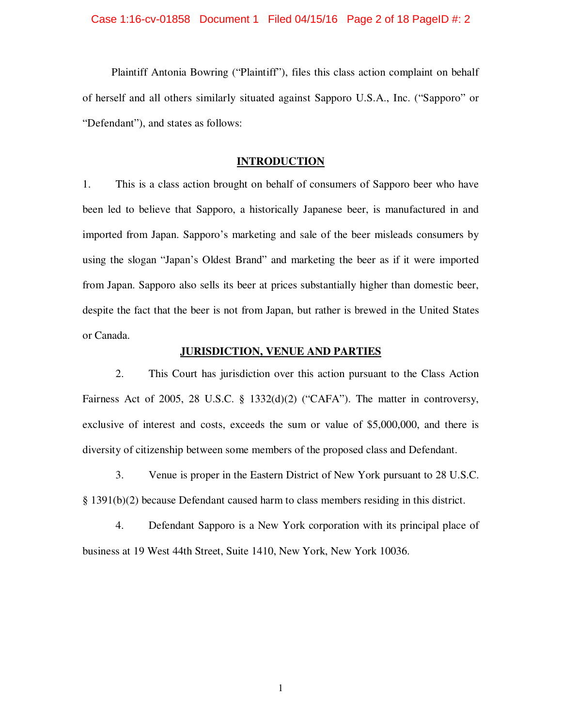#### Case 1:16-cv-01858 Document 1 Filed 04/15/16 Page 2 of 18 PageID #: 2

Plaintiff Antonia Bowring ("Plaintiff"), files this class action complaint on behalf of herself and all others similarly situated against Sapporo U.S.A., Inc. ("Sapporo" or "Defendant"), and states as follows:

# **INTRODUCTION**

1. This is a class action brought on behalf of consumers of Sapporo beer who have been led to believe that Sapporo, a historically Japanese beer, is manufactured in and imported from Japan. Sapporo's marketing and sale of the beer misleads consumers by using the slogan "Japan's Oldest Brand" and marketing the beer as if it were imported from Japan. Sapporo also sells its beer at prices substantially higher than domestic beer, despite the fact that the beer is not from Japan, but rather is brewed in the United States or Canada.

# **JURISDICTION, VENUE AND PARTIES**

2. This Court has jurisdiction over this action pursuant to the Class Action Fairness Act of 2005, 28 U.S.C. § 1332(d)(2) ("CAFA"). The matter in controversy, exclusive of interest and costs, exceeds the sum or value of \$5,000,000, and there is diversity of citizenship between some members of the proposed class and Defendant.

3. Venue is proper in the Eastern District of New York pursuant to 28 U.S.C. § 1391(b)(2) because Defendant caused harm to class members residing in this district.

4. Defendant Sapporo is a New York corporation with its principal place of business at 19 West 44th Street, Suite 1410, New York, New York 10036.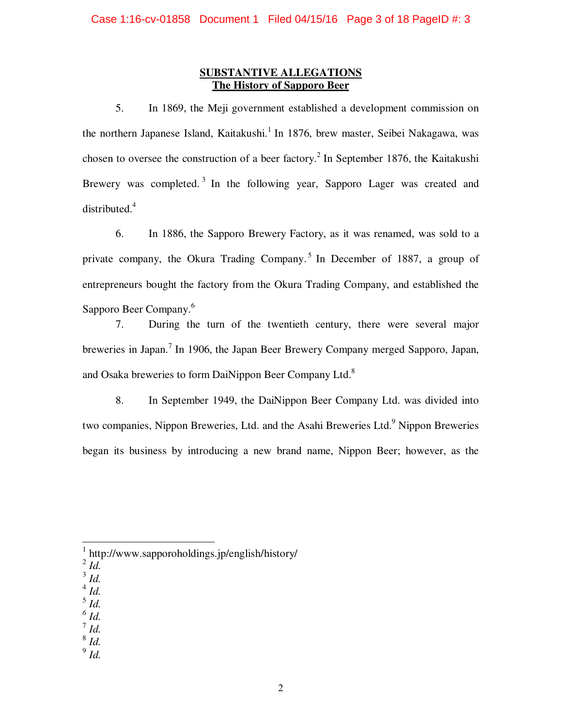# **SUBSTANTIVE ALLEGATIONS The History of Sapporo Beer**

5. In 1869, the Meji government established a development commission on the northern Japanese Island, Kaitakushi.<sup>1</sup> In 1876, brew master, Seibei Nakagawa, was chosen to oversee the construction of a beer factory.<sup>2</sup> In September 1876, the Kaitakushi Brewery was completed.<sup>3</sup> In the following year, Sapporo Lager was created and distributed.<sup>4</sup>

6. In 1886, the Sapporo Brewery Factory, as it was renamed, was sold to a private company, the Okura Trading Company.<sup>5</sup> In December of 1887, a group of entrepreneurs bought the factory from the Okura Trading Company, and established the Sapporo Beer Company.<sup>6</sup>

7. During the turn of the twentieth century, there were several major breweries in Japan.<sup>7</sup> In 1906, the Japan Beer Brewery Company merged Sapporo, Japan, and Osaka breweries to form DaiNippon Beer Company Ltd.<sup>8</sup>

8. In September 1949, the DaiNippon Beer Company Ltd. was divided into two companies, Nippon Breweries, Ltd. and the Asahi Breweries Ltd.<sup>9</sup> Nippon Breweries began its business by introducing a new brand name, Nippon Beer; however, as the

- 3 *Id.*
- 4 *Id.*
- 5 *Id.*
- $\int^6 I d$ .
- 7 *Id.*
- 8 *Id.* 9 *Id.*

 1 http://www.sapporoholdings.jp/english/history/

<sup>2</sup> *Id.*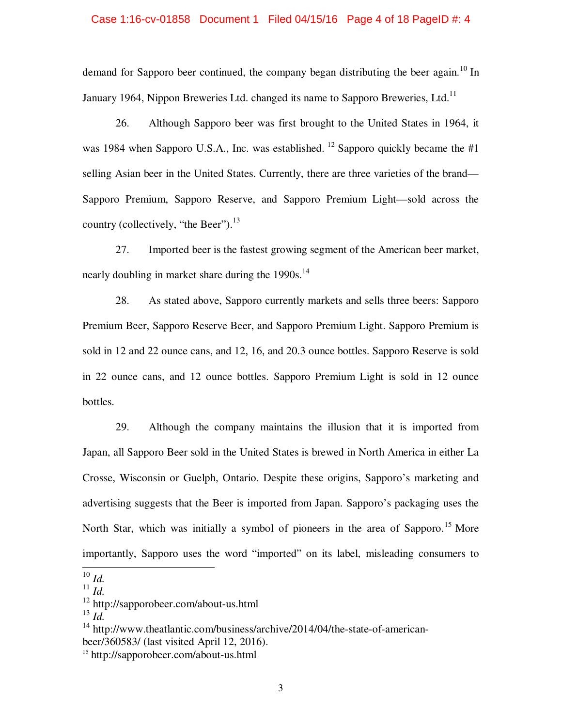#### Case 1:16-cv-01858 Document 1 Filed 04/15/16 Page 4 of 18 PageID #: 4

demand for Sapporo beer continued, the company began distributing the beer again.<sup>10</sup> In January 1964, Nippon Breweries Ltd. changed its name to Sapporo Breweries, Ltd.<sup>11</sup>

26. Although Sapporo beer was first brought to the United States in 1964, it was 1984 when Sapporo U.S.A., Inc. was established. <sup>12</sup> Sapporo quickly became the  $#1$ selling Asian beer in the United States. Currently, there are three varieties of the brand— Sapporo Premium, Sapporo Reserve, and Sapporo Premium Light—sold across the country (collectively, "the Beer"). $^{13}$ 

27. Imported beer is the fastest growing segment of the American beer market, nearly doubling in market share during the  $1990s$ .<sup>14</sup>

28. As stated above, Sapporo currently markets and sells three beers: Sapporo Premium Beer, Sapporo Reserve Beer, and Sapporo Premium Light. Sapporo Premium is sold in 12 and 22 ounce cans, and 12, 16, and 20.3 ounce bottles. Sapporo Reserve is sold in 22 ounce cans, and 12 ounce bottles. Sapporo Premium Light is sold in 12 ounce bottles.

29. Although the company maintains the illusion that it is imported from Japan, all Sapporo Beer sold in the United States is brewed in North America in either La Crosse, Wisconsin or Guelph, Ontario. Despite these origins, Sapporo's marketing and advertising suggests that the Beer is imported from Japan. Sapporo's packaging uses the North Star, which was initially a symbol of pioneers in the area of Sapporo.<sup>15</sup> More importantly, Sapporo uses the word "imported" on its label, misleading consumers to

 $\overline{a}$ 

<sup>10</sup> *Id.*

 $\prod_{i=1}^{n}$ 

<sup>12</sup> http://sapporobeer.com/about-us.html

<sup>13</sup> *Id.* 

 $14 \text{ http://www.theatlantic.com/business/archive/2014/04/the-state-of-american-}$ beer/360583/ (last visited April 12, 2016).

<sup>15</sup> http://sapporobeer.com/about-us.html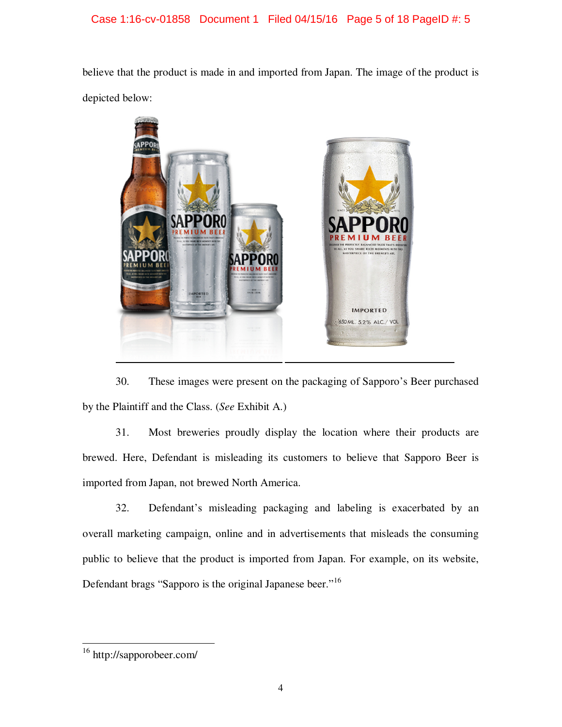# Case 1:16-cv-01858 Document 1 Filed 04/15/16 Page 5 of 18 PageID #: 5

believe that the product is made in and imported from Japan. The image of the product is depicted below:



30. These images were present on the packaging of Sapporo's Beer purchased by the Plaintiff and the Class. (*See* Exhibit A.)

31. Most breweries proudly display the location where their products are brewed. Here, Defendant is misleading its customers to believe that Sapporo Beer is imported from Japan, not brewed North America.

32. Defendant's misleading packaging and labeling is exacerbated by an overall marketing campaign, online and in advertisements that misleads the consuming public to believe that the product is imported from Japan. For example, on its website, Defendant brags "Sapporo is the original Japanese beer."<sup>16</sup>

 $\overline{a}$ <sup>16</sup> http://sapporobeer.com/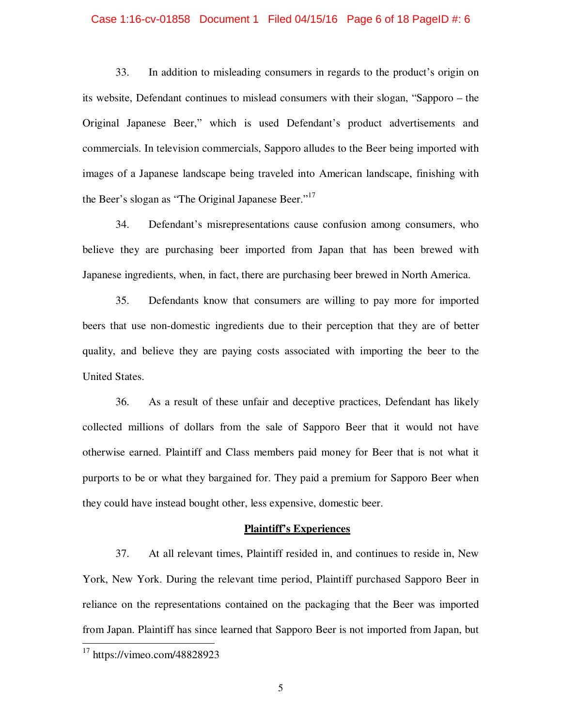#### Case 1:16-cv-01858 Document 1 Filed 04/15/16 Page 6 of 18 PageID #: 6

33. In addition to misleading consumers in regards to the product's origin on its website, Defendant continues to mislead consumers with their slogan, "Sapporo – the Original Japanese Beer," which is used Defendant's product advertisements and commercials. In television commercials, Sapporo alludes to the Beer being imported with images of a Japanese landscape being traveled into American landscape, finishing with the Beer's slogan as "The Original Japanese Beer."<sup>17</sup>

34. Defendant's misrepresentations cause confusion among consumers, who believe they are purchasing beer imported from Japan that has been brewed with Japanese ingredients, when, in fact, there are purchasing beer brewed in North America.

35. Defendants know that consumers are willing to pay more for imported beers that use non-domestic ingredients due to their perception that they are of better quality, and believe they are paying costs associated with importing the beer to the United States.

36. As a result of these unfair and deceptive practices, Defendant has likely collected millions of dollars from the sale of Sapporo Beer that it would not have otherwise earned. Plaintiff and Class members paid money for Beer that is not what it purports to be or what they bargained for. They paid a premium for Sapporo Beer when they could have instead bought other, less expensive, domestic beer.

#### **Plaintiff's Experiences**

37. At all relevant times, Plaintiff resided in, and continues to reside in, New York, New York. During the relevant time period, Plaintiff purchased Sapporo Beer in reliance on the representations contained on the packaging that the Beer was imported from Japan. Plaintiff has since learned that Sapporo Beer is not imported from Japan, but

 $\overline{a}$ 

 $17$  https://vimeo.com/48828923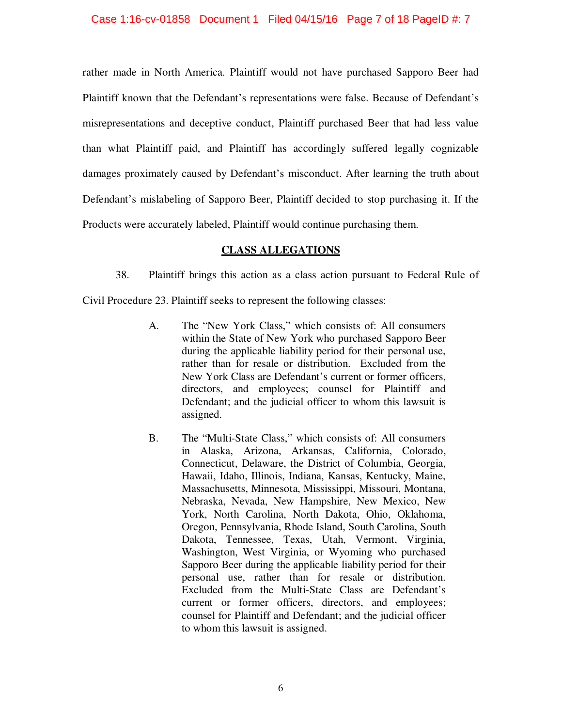### Case 1:16-cv-01858 Document 1 Filed 04/15/16 Page 7 of 18 PageID #: 7

rather made in North America. Plaintiff would not have purchased Sapporo Beer had Plaintiff known that the Defendant's representations were false. Because of Defendant's misrepresentations and deceptive conduct, Plaintiff purchased Beer that had less value than what Plaintiff paid, and Plaintiff has accordingly suffered legally cognizable damages proximately caused by Defendant's misconduct. After learning the truth about Defendant's mislabeling of Sapporo Beer, Plaintiff decided to stop purchasing it. If the Products were accurately labeled, Plaintiff would continue purchasing them.

# **CLASS ALLEGATIONS**

38. Plaintiff brings this action as a class action pursuant to Federal Rule of

Civil Procedure 23. Plaintiff seeks to represent the following classes:

- A. The "New York Class," which consists of: All consumers within the State of New York who purchased Sapporo Beer during the applicable liability period for their personal use, rather than for resale or distribution. Excluded from the New York Class are Defendant's current or former officers, directors, and employees; counsel for Plaintiff and Defendant; and the judicial officer to whom this lawsuit is assigned.
- B. The "Multi-State Class," which consists of: All consumers in Alaska, Arizona, Arkansas, California, Colorado, Connecticut, Delaware, the District of Columbia, Georgia, Hawaii, Idaho, Illinois, Indiana, Kansas, Kentucky, Maine, Massachusetts, Minnesota, Mississippi, Missouri, Montana, Nebraska, Nevada, New Hampshire, New Mexico, New York, North Carolina, North Dakota, Ohio, Oklahoma, Oregon, Pennsylvania, Rhode Island, South Carolina, South Dakota, Tennessee, Texas, Utah, Vermont, Virginia, Washington, West Virginia, or Wyoming who purchased Sapporo Beer during the applicable liability period for their personal use, rather than for resale or distribution. Excluded from the Multi-State Class are Defendant's current or former officers, directors, and employees; counsel for Plaintiff and Defendant; and the judicial officer to whom this lawsuit is assigned.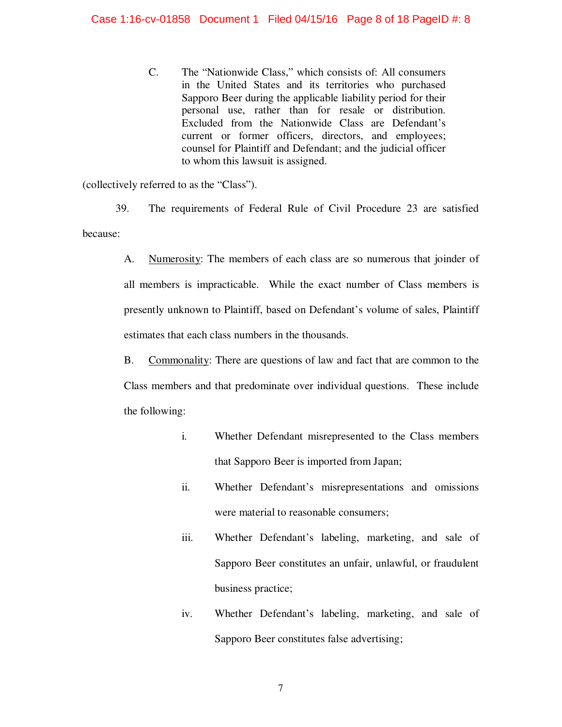C. The "Nationwide Class," which consists of: All consumers in the United States and its territories who purchased Sapporo Beer during the applicable liability period for their personal use, rather than for resale or distribution. Excluded from the Nationwide Class are Defendant's current or former officers, directors, and employees; counsel for Plaintiff and Defendant; and the judicial officer to whom this lawsuit is assigned.

(collectively referred to as the "Class").

39. The requirements of Federal Rule of Civil Procedure 23 are satisfied because:

> A. Numerosity: The members of each class are so numerous that joinder of all members is impracticable. While the exact number of Class members is presently unknown to Plaintiff, based on Defendant's volume of sales, Plaintiff estimates that each class numbers in the thousands.

> B. Commonality: There are questions of law and fact that are common to the Class members and that predominate over individual questions. These include the following:

- i. Whether Defendant misrepresented to the Class members that Sapporo Beer is imported from Japan;
- ii. Whether Defendant's misrepresentations and omissions were material to reasonable consumers;
- iii. Whether Defendant's labeling, marketing, and sale of Sapporo Beer constitutes an unfair, unlawful, or fraudulent business practice;
- iv. Whether Defendant's labeling, marketing, and sale of Sapporo Beer constitutes false advertising;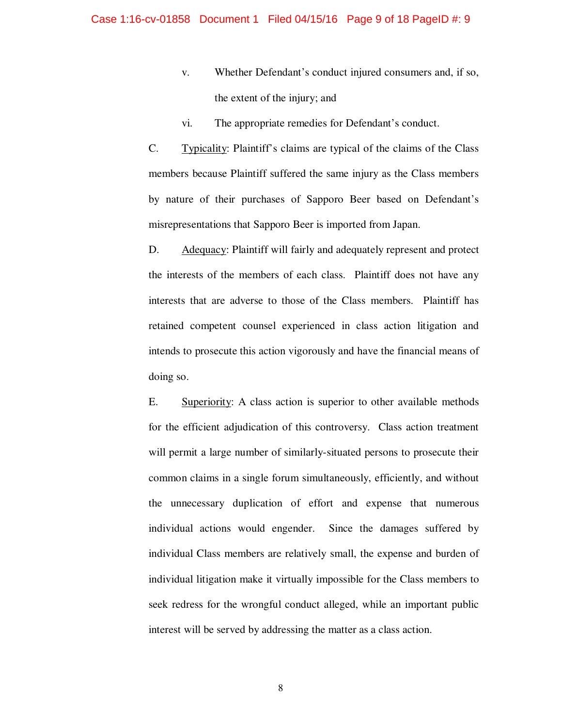- v. Whether Defendant's conduct injured consumers and, if so, the extent of the injury; and
- vi. The appropriate remedies for Defendant's conduct.

C. Typicality: Plaintiff's claims are typical of the claims of the Class members because Plaintiff suffered the same injury as the Class members by nature of their purchases of Sapporo Beer based on Defendant's misrepresentations that Sapporo Beer is imported from Japan.

D. Adequacy: Plaintiff will fairly and adequately represent and protect the interests of the members of each class. Plaintiff does not have any interests that are adverse to those of the Class members. Plaintiff has retained competent counsel experienced in class action litigation and intends to prosecute this action vigorously and have the financial means of doing so.

E. Superiority: A class action is superior to other available methods for the efficient adjudication of this controversy. Class action treatment will permit a large number of similarly-situated persons to prosecute their common claims in a single forum simultaneously, efficiently, and without the unnecessary duplication of effort and expense that numerous individual actions would engender. Since the damages suffered by individual Class members are relatively small, the expense and burden of individual litigation make it virtually impossible for the Class members to seek redress for the wrongful conduct alleged, while an important public interest will be served by addressing the matter as a class action.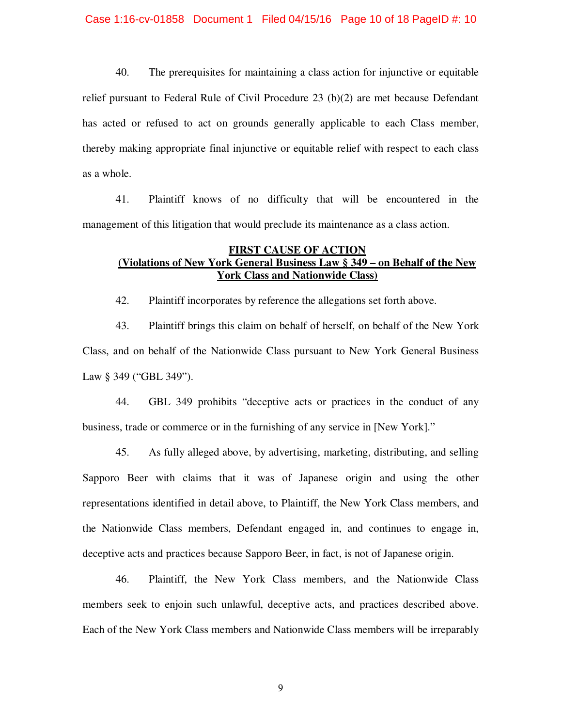#### Case 1:16-cv-01858 Document 1 Filed 04/15/16 Page 10 of 18 PageID #: 10

40. The prerequisites for maintaining a class action for injunctive or equitable relief pursuant to Federal Rule of Civil Procedure 23 (b)(2) are met because Defendant has acted or refused to act on grounds generally applicable to each Class member, thereby making appropriate final injunctive or equitable relief with respect to each class as a whole.

41. Plaintiff knows of no difficulty that will be encountered in the management of this litigation that would preclude its maintenance as a class action.

# **FIRST CAUSE OF ACTION (Violations of New York General Business Law § 349 – on Behalf of the New York Class and Nationwide Class)**

42. Plaintiff incorporates by reference the allegations set forth above.

43. Plaintiff brings this claim on behalf of herself, on behalf of the New York Class, and on behalf of the Nationwide Class pursuant to New York General Business Law § 349 ("GBL 349").

44. GBL 349 prohibits "deceptive acts or practices in the conduct of any business, trade or commerce or in the furnishing of any service in [New York]."

45. As fully alleged above, by advertising, marketing, distributing, and selling Sapporo Beer with claims that it was of Japanese origin and using the other representations identified in detail above, to Plaintiff, the New York Class members, and the Nationwide Class members, Defendant engaged in, and continues to engage in, deceptive acts and practices because Sapporo Beer, in fact, is not of Japanese origin.

46. Plaintiff, the New York Class members, and the Nationwide Class members seek to enjoin such unlawful, deceptive acts, and practices described above. Each of the New York Class members and Nationwide Class members will be irreparably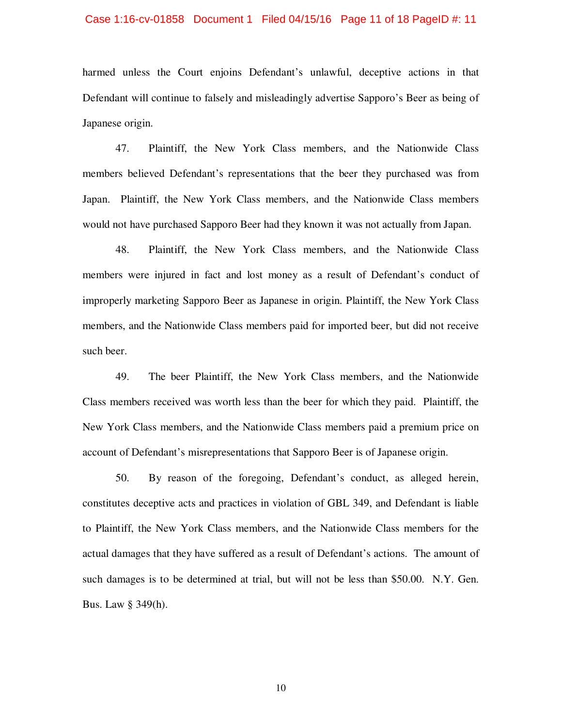#### Case 1:16-cv-01858 Document 1 Filed 04/15/16 Page 11 of 18 PageID #: 11

harmed unless the Court enjoins Defendant's unlawful, deceptive actions in that Defendant will continue to falsely and misleadingly advertise Sapporo's Beer as being of Japanese origin.

47. Plaintiff, the New York Class members, and the Nationwide Class members believed Defendant's representations that the beer they purchased was from Japan. Plaintiff, the New York Class members, and the Nationwide Class members would not have purchased Sapporo Beer had they known it was not actually from Japan.

48. Plaintiff, the New York Class members, and the Nationwide Class members were injured in fact and lost money as a result of Defendant's conduct of improperly marketing Sapporo Beer as Japanese in origin. Plaintiff, the New York Class members, and the Nationwide Class members paid for imported beer, but did not receive such beer.

49. The beer Plaintiff, the New York Class members, and the Nationwide Class members received was worth less than the beer for which they paid. Plaintiff, the New York Class members, and the Nationwide Class members paid a premium price on account of Defendant's misrepresentations that Sapporo Beer is of Japanese origin.

50. By reason of the foregoing, Defendant's conduct, as alleged herein, constitutes deceptive acts and practices in violation of GBL 349, and Defendant is liable to Plaintiff, the New York Class members, and the Nationwide Class members for the actual damages that they have suffered as a result of Defendant's actions. The amount of such damages is to be determined at trial, but will not be less than \$50.00. N.Y. Gen. Bus. Law § 349(h).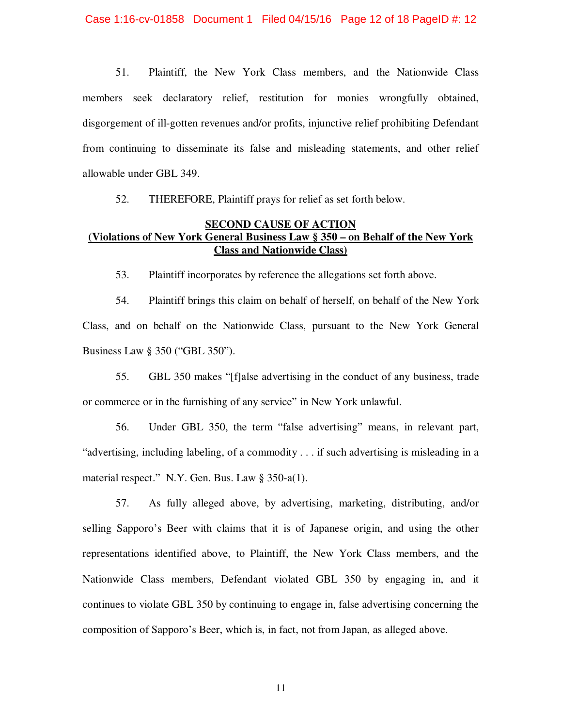51. Plaintiff, the New York Class members, and the Nationwide Class members seek declaratory relief, restitution for monies wrongfully obtained, disgorgement of ill-gotten revenues and/or profits, injunctive relief prohibiting Defendant from continuing to disseminate its false and misleading statements, and other relief allowable under GBL 349.

52. THEREFORE, Plaintiff prays for relief as set forth below.

# **SECOND CAUSE OF ACTION (Violations of New York General Business Law § 350 – on Behalf of the New York Class and Nationwide Class)**

53. Plaintiff incorporates by reference the allegations set forth above.

54. Plaintiff brings this claim on behalf of herself, on behalf of the New York Class, and on behalf on the Nationwide Class, pursuant to the New York General Business Law § 350 ("GBL 350").

55. GBL 350 makes "[f]alse advertising in the conduct of any business, trade or commerce or in the furnishing of any service" in New York unlawful.

56. Under GBL 350, the term "false advertising" means, in relevant part, "advertising, including labeling, of a commodity . . . if such advertising is misleading in a material respect." N.Y. Gen. Bus. Law § 350-a(1).

57. As fully alleged above, by advertising, marketing, distributing, and/or selling Sapporo's Beer with claims that it is of Japanese origin, and using the other representations identified above, to Plaintiff, the New York Class members, and the Nationwide Class members, Defendant violated GBL 350 by engaging in, and it continues to violate GBL 350 by continuing to engage in, false advertising concerning the composition of Sapporo's Beer, which is, in fact, not from Japan, as alleged above.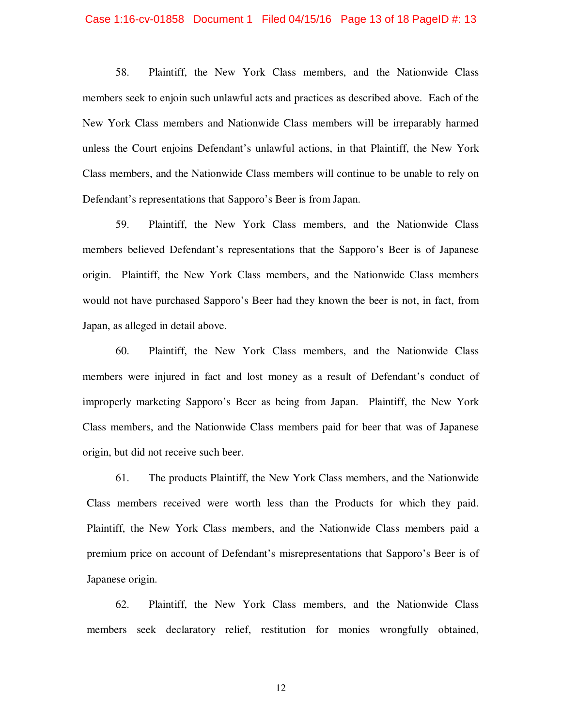#### Case 1:16-cv-01858 Document 1 Filed 04/15/16 Page 13 of 18 PageID #: 13

58. Plaintiff, the New York Class members, and the Nationwide Class members seek to enjoin such unlawful acts and practices as described above. Each of the New York Class members and Nationwide Class members will be irreparably harmed unless the Court enjoins Defendant's unlawful actions, in that Plaintiff, the New York Class members, and the Nationwide Class members will continue to be unable to rely on Defendant's representations that Sapporo's Beer is from Japan.

59. Plaintiff, the New York Class members, and the Nationwide Class members believed Defendant's representations that the Sapporo's Beer is of Japanese origin. Plaintiff, the New York Class members, and the Nationwide Class members would not have purchased Sapporo's Beer had they known the beer is not, in fact, from Japan, as alleged in detail above.

60. Plaintiff, the New York Class members, and the Nationwide Class members were injured in fact and lost money as a result of Defendant's conduct of improperly marketing Sapporo's Beer as being from Japan. Plaintiff, the New York Class members, and the Nationwide Class members paid for beer that was of Japanese origin, but did not receive such beer.

61. The products Plaintiff, the New York Class members, and the Nationwide Class members received were worth less than the Products for which they paid. Plaintiff, the New York Class members, and the Nationwide Class members paid a premium price on account of Defendant's misrepresentations that Sapporo's Beer is of Japanese origin.

62. Plaintiff, the New York Class members, and the Nationwide Class members seek declaratory relief, restitution for monies wrongfully obtained,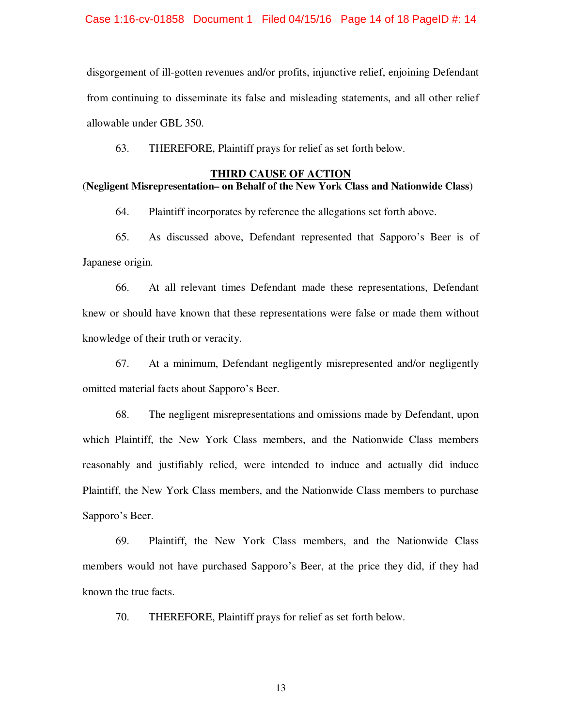#### Case 1:16-cv-01858 Document 1 Filed 04/15/16 Page 14 of 18 PageID #: 14

disgorgement of ill-gotten revenues and/or profits, injunctive relief, enjoining Defendant from continuing to disseminate its false and misleading statements, and all other relief allowable under GBL 350.

63. THEREFORE, Plaintiff prays for relief as set forth below.

#### **THIRD CAUSE OF ACTION**

### (**Negligent Misrepresentation– on Behalf of the New York Class and Nationwide Class**)

64. Plaintiff incorporates by reference the allegations set forth above.

65. As discussed above, Defendant represented that Sapporo's Beer is of Japanese origin.

66. At all relevant times Defendant made these representations, Defendant knew or should have known that these representations were false or made them without knowledge of their truth or veracity.

67. At a minimum, Defendant negligently misrepresented and/or negligently omitted material facts about Sapporo's Beer.

68. The negligent misrepresentations and omissions made by Defendant, upon which Plaintiff, the New York Class members, and the Nationwide Class members reasonably and justifiably relied, were intended to induce and actually did induce Plaintiff, the New York Class members, and the Nationwide Class members to purchase Sapporo's Beer.

69. Plaintiff, the New York Class members, and the Nationwide Class members would not have purchased Sapporo's Beer, at the price they did, if they had known the true facts.

70. THEREFORE, Plaintiff prays for relief as set forth below.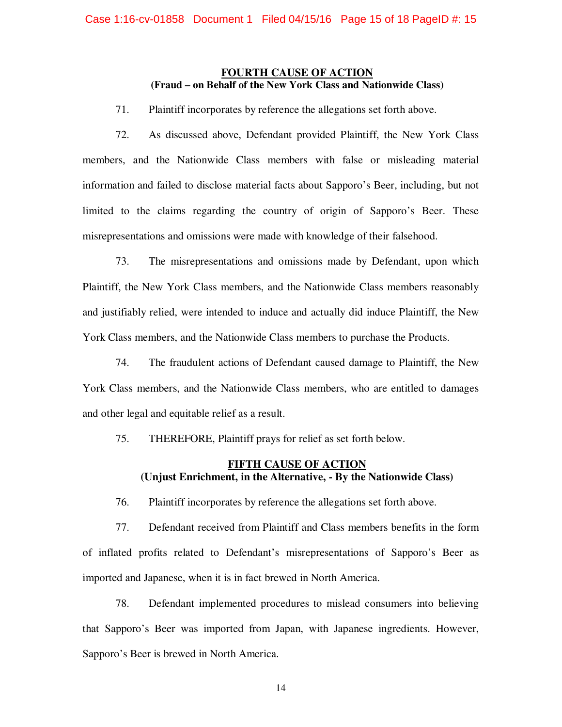### **FOURTH CAUSE OF ACTION (Fraud – on Behalf of the New York Class and Nationwide Class)**

71. Plaintiff incorporates by reference the allegations set forth above.

72. As discussed above, Defendant provided Plaintiff, the New York Class members, and the Nationwide Class members with false or misleading material information and failed to disclose material facts about Sapporo's Beer, including, but not limited to the claims regarding the country of origin of Sapporo's Beer. These misrepresentations and omissions were made with knowledge of their falsehood.

73. The misrepresentations and omissions made by Defendant, upon which Plaintiff, the New York Class members, and the Nationwide Class members reasonably and justifiably relied, were intended to induce and actually did induce Plaintiff, the New York Class members, and the Nationwide Class members to purchase the Products.

74. The fraudulent actions of Defendant caused damage to Plaintiff, the New York Class members, and the Nationwide Class members, who are entitled to damages and other legal and equitable relief as a result.

75. THEREFORE, Plaintiff prays for relief as set forth below.

# **FIFTH CAUSE OF ACTION (Unjust Enrichment, in the Alternative, - By the Nationwide Class)**

76. Plaintiff incorporates by reference the allegations set forth above.

77. Defendant received from Plaintiff and Class members benefits in the form of inflated profits related to Defendant's misrepresentations of Sapporo's Beer as imported and Japanese, when it is in fact brewed in North America.

78. Defendant implemented procedures to mislead consumers into believing that Sapporo's Beer was imported from Japan, with Japanese ingredients. However, Sapporo's Beer is brewed in North America.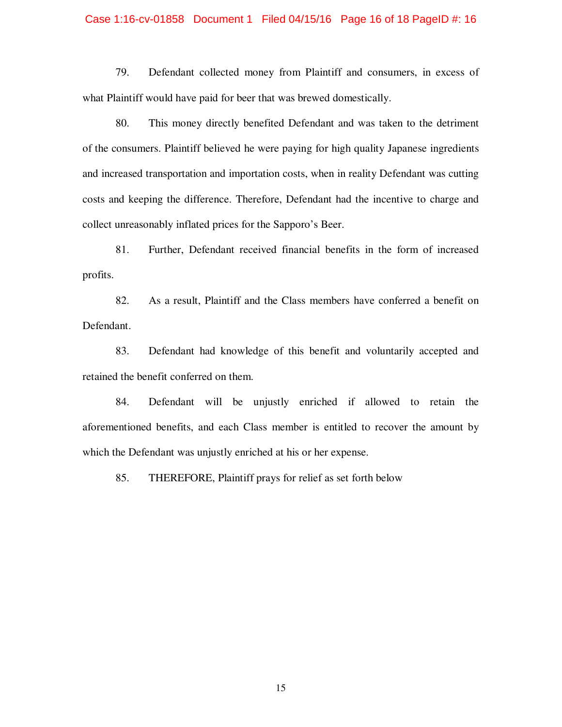#### Case 1:16-cv-01858 Document 1 Filed 04/15/16 Page 16 of 18 PageID #: 16

79. Defendant collected money from Plaintiff and consumers, in excess of what Plaintiff would have paid for beer that was brewed domestically.

80. This money directly benefited Defendant and was taken to the detriment of the consumers. Plaintiff believed he were paying for high quality Japanese ingredients and increased transportation and importation costs, when in reality Defendant was cutting costs and keeping the difference. Therefore, Defendant had the incentive to charge and collect unreasonably inflated prices for the Sapporo's Beer.

81. Further, Defendant received financial benefits in the form of increased profits.

82. As a result, Plaintiff and the Class members have conferred a benefit on Defendant.

83. Defendant had knowledge of this benefit and voluntarily accepted and retained the benefit conferred on them.

84. Defendant will be unjustly enriched if allowed to retain the aforementioned benefits, and each Class member is entitled to recover the amount by which the Defendant was unjustly enriched at his or her expense.

85. THEREFORE, Plaintiff prays for relief as set forth below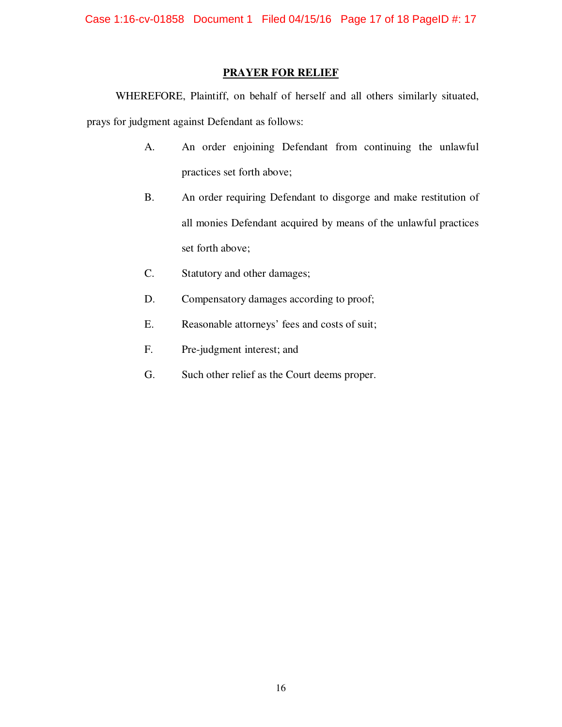Case 1:16-cv-01858 Document 1 Filed 04/15/16 Page 17 of 18 PageID #: 17

# **PRAYER FOR RELIEF**

WHEREFORE, Plaintiff, on behalf of herself and all others similarly situated, prays for judgment against Defendant as follows:

- A. An order enjoining Defendant from continuing the unlawful practices set forth above;
- B. An order requiring Defendant to disgorge and make restitution of all monies Defendant acquired by means of the unlawful practices set forth above;
- C. Statutory and other damages;
- D. Compensatory damages according to proof;
- E. Reasonable attorneys' fees and costs of suit;
- F. Pre-judgment interest; and
- G. Such other relief as the Court deems proper.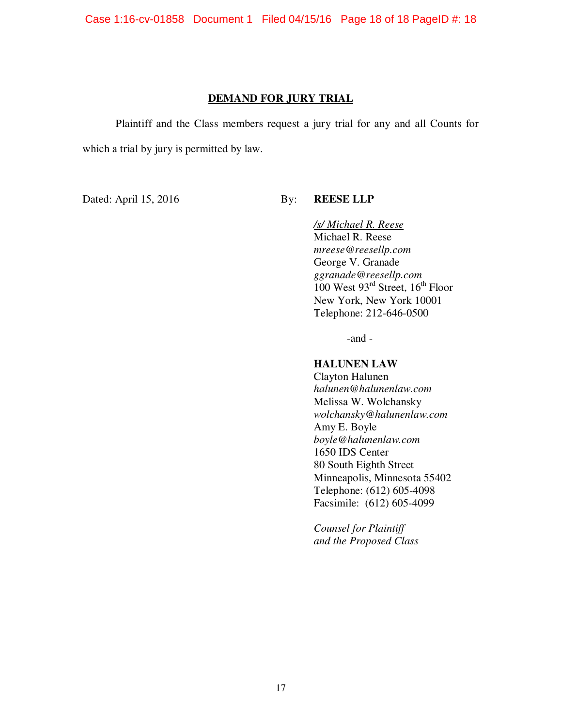Case 1:16-cv-01858 Document 1 Filed 04/15/16 Page 18 of 18 PageID #: 18

# **DEMAND FOR JURY TRIAL**

Plaintiff and the Class members request a jury trial for any and all Counts for which a trial by jury is permitted by law.

Dated: April 15, 2016 By: **REESE LLP** 

*/s/ Michael R. Reese*  Michael R. Reese *mreese@reesellp.com* George V. Granade *ggranade@reesellp.com*   $100$  West  $93<sup>rd</sup>$  Street,  $16<sup>th</sup>$  Floor New York, New York 10001 Telephone: 212-646-0500

-and -

## **HALUNEN LAW**

Clayton Halunen *halunen@halunenlaw.com*  Melissa W. Wolchansky *wolchansky@halunenlaw.com*  Amy E. Boyle *boyle@halunenlaw.com*  1650 IDS Center 80 South Eighth Street Minneapolis, Minnesota 55402 Telephone: (612) 605-4098 Facsimile: (612) 605-4099

*Counsel for Plaintiff and the Proposed Class*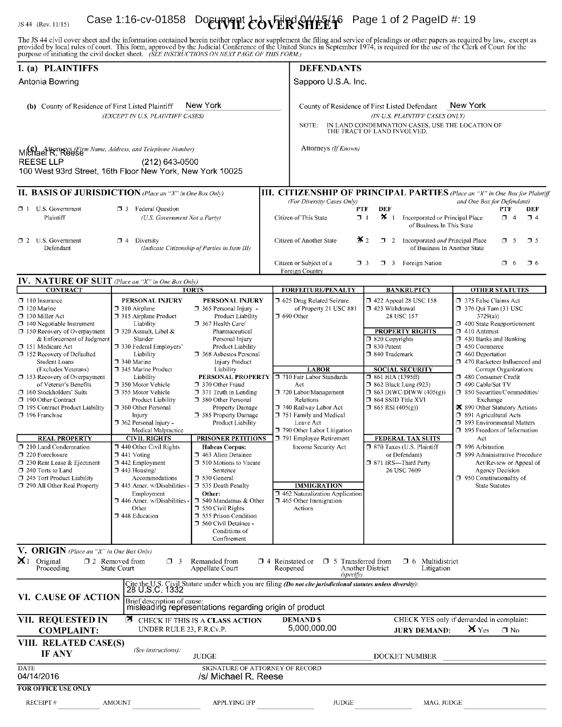#### Case 1:16-cv-01858 Doeunent  $\text{CovER}$ R $\text{CovER}$   $\text{CovER}$ JS 44 (Rev. 11/15)

The JS 44 civil cover sheet and the information contained herein neither replace nor supplement the filing and service of pleadings or other papers as required by law, except as provided by local rules of court. This form,

| I. (a) PLAINTIFFS                                                                                                                                                                                                                                                                                                                                                                                                                                                                                                                                                                                                                                                    |                                                                                                                                                                                                                                                                                                                                                                                                                                                                                                                                                                                                                            |                                                                                                                                                                                                                                                                                                                                                                                                                                                                                                                                                                                                                                                                                                           |                                                                                                                                                                                     | <b>DEFENDANTS</b>                                                                                                                                                                                                                                                                                                                                                                                                                                       |                                                                                                                                                                                                                                                                                                                                                                                                                                                                  |                                                                                                                                                                                                                                                                                                                                                                                                                                                                                                                                                                                                                                                                              |
|----------------------------------------------------------------------------------------------------------------------------------------------------------------------------------------------------------------------------------------------------------------------------------------------------------------------------------------------------------------------------------------------------------------------------------------------------------------------------------------------------------------------------------------------------------------------------------------------------------------------------------------------------------------------|----------------------------------------------------------------------------------------------------------------------------------------------------------------------------------------------------------------------------------------------------------------------------------------------------------------------------------------------------------------------------------------------------------------------------------------------------------------------------------------------------------------------------------------------------------------------------------------------------------------------------|-----------------------------------------------------------------------------------------------------------------------------------------------------------------------------------------------------------------------------------------------------------------------------------------------------------------------------------------------------------------------------------------------------------------------------------------------------------------------------------------------------------------------------------------------------------------------------------------------------------------------------------------------------------------------------------------------------------|-------------------------------------------------------------------------------------------------------------------------------------------------------------------------------------|---------------------------------------------------------------------------------------------------------------------------------------------------------------------------------------------------------------------------------------------------------------------------------------------------------------------------------------------------------------------------------------------------------------------------------------------------------|------------------------------------------------------------------------------------------------------------------------------------------------------------------------------------------------------------------------------------------------------------------------------------------------------------------------------------------------------------------------------------------------------------------------------------------------------------------|------------------------------------------------------------------------------------------------------------------------------------------------------------------------------------------------------------------------------------------------------------------------------------------------------------------------------------------------------------------------------------------------------------------------------------------------------------------------------------------------------------------------------------------------------------------------------------------------------------------------------------------------------------------------------|
| Antonia Bowring                                                                                                                                                                                                                                                                                                                                                                                                                                                                                                                                                                                                                                                      |                                                                                                                                                                                                                                                                                                                                                                                                                                                                                                                                                                                                                            |                                                                                                                                                                                                                                                                                                                                                                                                                                                                                                                                                                                                                                                                                                           | Sapporo U.S.A. Inc.                                                                                                                                                                 |                                                                                                                                                                                                                                                                                                                                                                                                                                                         |                                                                                                                                                                                                                                                                                                                                                                                                                                                                  |                                                                                                                                                                                                                                                                                                                                                                                                                                                                                                                                                                                                                                                                              |
| New York<br>(b) County of Residence of First Listed Plaintiff<br>(EXCEPT IN U.S. PLAINTIFF CASES)                                                                                                                                                                                                                                                                                                                                                                                                                                                                                                                                                                    |                                                                                                                                                                                                                                                                                                                                                                                                                                                                                                                                                                                                                            |                                                                                                                                                                                                                                                                                                                                                                                                                                                                                                                                                                                                                                                                                                           | New York<br>County of Residence of First Listed Defendant<br>(IN U.S. PLAINTIFF CASES ONLY)<br>IN LAND CONDEMNATION CASES, USE THE LOCATION OF THE TRACT OF LAND INVOLVED.<br>NOTE: |                                                                                                                                                                                                                                                                                                                                                                                                                                                         |                                                                                                                                                                                                                                                                                                                                                                                                                                                                  |                                                                                                                                                                                                                                                                                                                                                                                                                                                                                                                                                                                                                                                                              |
| Michael R. Reese Wame, Address, and Telephone Number)<br><b>REESE LLP</b><br>100 West 93rd Street, 16th Floor New York, New York 10025                                                                                                                                                                                                                                                                                                                                                                                                                                                                                                                               | $(212)$ 643-0500                                                                                                                                                                                                                                                                                                                                                                                                                                                                                                                                                                                                           |                                                                                                                                                                                                                                                                                                                                                                                                                                                                                                                                                                                                                                                                                                           |                                                                                                                                                                                     | Attorneys (If Known)                                                                                                                                                                                                                                                                                                                                                                                                                                    |                                                                                                                                                                                                                                                                                                                                                                                                                                                                  |                                                                                                                                                                                                                                                                                                                                                                                                                                                                                                                                                                                                                                                                              |
| <b>II. BASIS OF JURISDICTION</b> (Place an "X" in One Box Only)                                                                                                                                                                                                                                                                                                                                                                                                                                                                                                                                                                                                      |                                                                                                                                                                                                                                                                                                                                                                                                                                                                                                                                                                                                                            |                                                                                                                                                                                                                                                                                                                                                                                                                                                                                                                                                                                                                                                                                                           |                                                                                                                                                                                     |                                                                                                                                                                                                                                                                                                                                                                                                                                                         |                                                                                                                                                                                                                                                                                                                                                                                                                                                                  | <b>III. CITIZENSHIP OF PRINCIPAL PARTIES</b> (Place an "X" in One Box for Plaintiff                                                                                                                                                                                                                                                                                                                                                                                                                                                                                                                                                                                          |
| $\Box$ 1 U.S. Government<br>Plaintiff                                                                                                                                                                                                                                                                                                                                                                                                                                                                                                                                                                                                                                | <b>13</b> Federal Question<br>(U.S. Government Not a Party)                                                                                                                                                                                                                                                                                                                                                                                                                                                                                                                                                                |                                                                                                                                                                                                                                                                                                                                                                                                                                                                                                                                                                                                                                                                                                           |                                                                                                                                                                                     | (For Diversity Cases Only)<br>PTF<br>Citizen of This State<br>71                                                                                                                                                                                                                                                                                                                                                                                        | DEF<br>$\mathbf{x}$ <sub>1</sub><br>Incorporated or Principal Place<br>of Business In This State                                                                                                                                                                                                                                                                                                                                                                 | and One Box for Defendant)<br>PTF<br>DEF<br>$\Box$ 4<br>$\Box$ 4                                                                                                                                                                                                                                                                                                                                                                                                                                                                                                                                                                                                             |
| $\Box$ 2 U.S. Government<br>Defendant                                                                                                                                                                                                                                                                                                                                                                                                                                                                                                                                                                                                                                | $\Box$ 4 Diversity                                                                                                                                                                                                                                                                                                                                                                                                                                                                                                                                                                                                         | (Indicate Citizenship of Parties in Item III)                                                                                                                                                                                                                                                                                                                                                                                                                                                                                                                                                                                                                                                             |                                                                                                                                                                                     | Citizen of Another State                                                                                                                                                                                                                                                                                                                                                                                                                                | $\mathbf{x}_2$<br>$\Box$ 2 Incorporated <i>and</i> Principal Place                                                                                                                                                                                                                                                                                                                                                                                               | 75<br>$\Box$ 5<br>of Business In Another State                                                                                                                                                                                                                                                                                                                                                                                                                                                                                                                                                                                                                               |
|                                                                                                                                                                                                                                                                                                                                                                                                                                                                                                                                                                                                                                                                      |                                                                                                                                                                                                                                                                                                                                                                                                                                                                                                                                                                                                                            |                                                                                                                                                                                                                                                                                                                                                                                                                                                                                                                                                                                                                                                                                                           |                                                                                                                                                                                     | Citizen or Subject of a<br>Foreign Country                                                                                                                                                                                                                                                                                                                                                                                                              | 3 Foreign Nation<br>$\sqsupset$ 3                                                                                                                                                                                                                                                                                                                                                                                                                                | $\Box$ 6<br>$\Box$ 6                                                                                                                                                                                                                                                                                                                                                                                                                                                                                                                                                                                                                                                         |
| <b>IV. NATURE OF SUIT</b> (Place an "X" in One Box Only)                                                                                                                                                                                                                                                                                                                                                                                                                                                                                                                                                                                                             |                                                                                                                                                                                                                                                                                                                                                                                                                                                                                                                                                                                                                            |                                                                                                                                                                                                                                                                                                                                                                                                                                                                                                                                                                                                                                                                                                           |                                                                                                                                                                                     |                                                                                                                                                                                                                                                                                                                                                                                                                                                         |                                                                                                                                                                                                                                                                                                                                                                                                                                                                  |                                                                                                                                                                                                                                                                                                                                                                                                                                                                                                                                                                                                                                                                              |
| <b>CONTRACT</b><br>$\Box$ 110 Insurance<br>$\Box$ 120 Marine<br>$\square$ 130 Miller Act<br>$\Box$ 140 Negotiable Instrument<br>$\Box$ 150 Recovery of Overpayment<br>& Enforcement of Judgment<br>□ 151 Medicare Act<br>$\Box$ 152 Recovery of Defaulted<br>Student Loans<br>(Excludes Veterans)<br>□ 153 Recovery of Overpayment<br>of Veteran's Benefits<br>□ 160 Stockholders' Suits<br>□ 190 Other Contract<br>□ 195 Contract Product Liability<br>$\Box$ 196 Franchise<br><b>REAL PROPERTY</b><br>210 Land Condemnation<br>220 Foreclosure<br>□ 230 Rent Lease & Ejectment<br>□ 240 Torts to Land<br>245 Tort Product Liability<br>290 All Other Real Property | PERSONAL INJURY<br>$\Box$ 310 Airplane<br>□ 315 Airplane Product<br>Liability<br>$\Box$ 320 Assault, Libel &<br>Slander<br>□ 330 Federal Employers'<br>Liability<br>340 Marine<br>□ 345 Marine Product<br>Liability<br>□ 350 Motor Vehicle<br>355 Motor Vehicle<br>Product Liability<br>□ 360 Other Personal<br>Injury<br>□ 362 Personal Injury -<br>Medical Malpractice<br><b>CIVIL RIGHTS</b><br>□ 440 Other Civil Rights<br>$\Box$ 441 Voting<br>$\Box$ 442 Employment<br>1443 Housing/<br>Accommodations<br>$\Box$ 445 Amer. w/Disabilities -<br>Employment<br>□ 446 Amer. w/Disabilities -<br>Other<br>1448 Education | <b>TORTS</b><br>PERSONAL INJURY<br>$\Box$ 365 Personal Injury -<br>Product Liability<br>367 Health Care/<br>Pharmaceutical<br>Personal Injury<br>Product Liability<br>□ 368 Asbestos Personal<br>Injury Product<br>Liability<br>PERSONAL PROPERTY<br>370 Other Fraud<br>$\Box$ 371 Truth in Lending<br>380 Other Personal<br>Property Damage<br>385 Property Damage<br>Product Liability<br><b>PRISONER PETITIONS</b><br><b>Habeas Corpus:</b><br>1 463 Alien Detainee<br>□ 510 Motions to Vacate<br>Sentence<br>□ 530 General<br>$\Box$ 535 Death Penalty<br>Other:<br>□ 540 Mandamus & Other<br>$\Box$ 550 Civil Rights<br>555 Prison Condition<br>560 Civil Detainee -<br>Conditions of<br>Confinement |                                                                                                                                                                                     | <b>FORFEITURE/PENALTY</b><br>5 625 Drug Related Seizure<br>of Property 21 USC 881<br>$\Box$ 690 Other<br><b>LABOR</b><br>コ 710 Fair Labor Standards<br>Act<br>720 Labor/Management<br>Relations<br>740 Railway Labor Act<br>751 Family and Medical<br>Leave Act<br>□ 790 Other Labor Litigation<br>□ 791 Employee Retirement<br>Income Security Act<br><b>IMMIGRATION</b><br>1462 Naturalization Application<br>$\Box$ 465 Other Immigration<br>Actions | <b>BANKRUPTCY</b><br>1 422 Appeal 28 USC 158<br>$\Box$ 423 Withdrawal<br>28 USC 157<br><b>PROPERTY RIGHTS</b><br>□ 820 Copyrights<br>□ 830 Patent<br>□ 840 Trademark<br><b>SOCIAL SECURITY</b><br>$\Box$ 861 HIA (1395ff)<br>□ 862 Black Lung (923)<br>$\Box$ 863 DIWC/DIWW (405(g))<br>$\Box$ 864 SSID Title XVI<br>$\Box$ 865 RSI (405(g))<br><b>FEDERAL TAX SUITS</b><br>□ 870 Taxes (U.S. Plaintiff<br>or Defendant)<br>□ 871 IRS-Third Party<br>26 USC 7609 | <b>OTHER STATUTES</b><br>□ 375 False Claims Act<br>376 Qui Tam (31 USC<br>3729(a)<br>$\Box$ 400 State Reapportionment<br>$\Box$ 410 Antitrust<br>1 430 Banks and Banking<br>□ 450 Commerce<br>$\Box$ 460 Deportation<br>470 Racketeer Influenced and<br>Corrupt Organizations<br>□ 480 Consumer Credit<br>□ 490 Cable/Sat TV<br>□ 850 Securities/Commodities/<br>Exchange<br>区 890 Other Statutory Actions<br>□ 891 Agricultural Acts<br>□ 893 Environmental Matters<br>□ 895 Freedom of Information<br>Act<br>□ 896 Arbitration<br>□ 899 Administrative Procedure<br>Act/Review or Appeal of<br>Agency Decision<br>$\Box$ 950 Constitutionality of<br><b>State Statutes</b> |
| V. ORIGIN (Place an "X" in One Box Only)<br>$\mathbf{X}$ 1 Original<br>Proceeding                                                                                                                                                                                                                                                                                                                                                                                                                                                                                                                                                                                    | $\square$ 2 Removed from<br>$\Box$ 3<br>State Court                                                                                                                                                                                                                                                                                                                                                                                                                                                                                                                                                                        | Remanded from<br>Appellate Court                                                                                                                                                                                                                                                                                                                                                                                                                                                                                                                                                                                                                                                                          | $\Box$ 4 Reinstated or<br>Reopened                                                                                                                                                  | □ 5 Transferred from<br>(specifi)                                                                                                                                                                                                                                                                                                                                                                                                                       | <b>1</b> 6 Multidistrict<br><b>Another District</b><br>Litigation                                                                                                                                                                                                                                                                                                                                                                                                |                                                                                                                                                                                                                                                                                                                                                                                                                                                                                                                                                                                                                                                                              |
| VI. CAUSE OF ACTION                                                                                                                                                                                                                                                                                                                                                                                                                                                                                                                                                                                                                                                  | Brief description of cause:                                                                                                                                                                                                                                                                                                                                                                                                                                                                                                                                                                                                | misleading representations regarding origin of product                                                                                                                                                                                                                                                                                                                                                                                                                                                                                                                                                                                                                                                    |                                                                                                                                                                                     | Cite the U.S. Civil Statute under which you are filing ( <i>Do not cite jurisdictional statutes unless diversity</i> ):<br>28 U.S.C. 1332                                                                                                                                                                                                                                                                                                               |                                                                                                                                                                                                                                                                                                                                                                                                                                                                  |                                                                                                                                                                                                                                                                                                                                                                                                                                                                                                                                                                                                                                                                              |
| VII. REQUESTED IN<br><b>COMPLAINT:</b>                                                                                                                                                                                                                                                                                                                                                                                                                                                                                                                                                                                                                               | UNDER RULE 23, F.R.Cv.P.                                                                                                                                                                                                                                                                                                                                                                                                                                                                                                                                                                                                   | <b>3</b> CHECK IF THIS IS A CLASS ACTION                                                                                                                                                                                                                                                                                                                                                                                                                                                                                                                                                                                                                                                                  |                                                                                                                                                                                     | <b>DEMAND \$</b><br>5,000,000,00                                                                                                                                                                                                                                                                                                                                                                                                                        | <b>JURY DEMAND:</b>                                                                                                                                                                                                                                                                                                                                                                                                                                              | CHECK YES only if demanded in complaint:<br>$\mathbf{X}$ Yes<br>$\Box$ No                                                                                                                                                                                                                                                                                                                                                                                                                                                                                                                                                                                                    |
| VIII. RELATED CASE(S)<br>IF ANY                                                                                                                                                                                                                                                                                                                                                                                                                                                                                                                                                                                                                                      | (See instructions):                                                                                                                                                                                                                                                                                                                                                                                                                                                                                                                                                                                                        | <b>JUDGE</b>                                                                                                                                                                                                                                                                                                                                                                                                                                                                                                                                                                                                                                                                                              |                                                                                                                                                                                     |                                                                                                                                                                                                                                                                                                                                                                                                                                                         | DOCKET NUMBER                                                                                                                                                                                                                                                                                                                                                                                                                                                    |                                                                                                                                                                                                                                                                                                                                                                                                                                                                                                                                                                                                                                                                              |
| DATE<br>04/14/2016<br><b>FOR OFFICE USE ONLY</b>                                                                                                                                                                                                                                                                                                                                                                                                                                                                                                                                                                                                                     |                                                                                                                                                                                                                                                                                                                                                                                                                                                                                                                                                                                                                            | SIGNATURE OF ATTORNEY OF RECORD<br>/s/ Michael R. Reese                                                                                                                                                                                                                                                                                                                                                                                                                                                                                                                                                                                                                                                   |                                                                                                                                                                                     |                                                                                                                                                                                                                                                                                                                                                                                                                                                         |                                                                                                                                                                                                                                                                                                                                                                                                                                                                  |                                                                                                                                                                                                                                                                                                                                                                                                                                                                                                                                                                                                                                                                              |
| <b>RECEIPT#</b>                                                                                                                                                                                                                                                                                                                                                                                                                                                                                                                                                                                                                                                      | <b>AMOUNT</b>                                                                                                                                                                                                                                                                                                                                                                                                                                                                                                                                                                                                              | <b>APPLYING IFP</b>                                                                                                                                                                                                                                                                                                                                                                                                                                                                                                                                                                                                                                                                                       |                                                                                                                                                                                     | <b>JUDGE</b>                                                                                                                                                                                                                                                                                                                                                                                                                                            | MAG. JUDGE                                                                                                                                                                                                                                                                                                                                                                                                                                                       |                                                                                                                                                                                                                                                                                                                                                                                                                                                                                                                                                                                                                                                                              |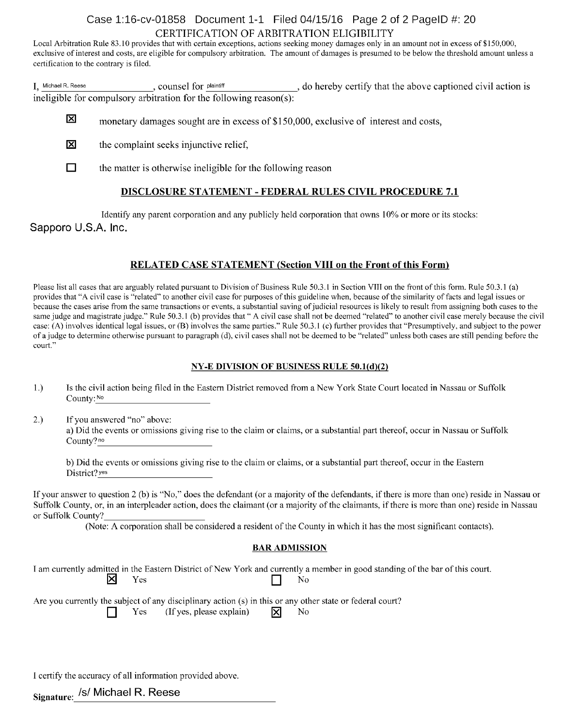# Case 1:16-cv-01858 Document 1-1 Filed 04/15/16 Page 2 of 2 PageID #: 20 CERTIFICATION OF ARBITRATION ELIGIBILITY

Local Arbitration Rule 83.10 provides that with certain exceptions, actions seeking money damages only in an amount not in excess of \$150,000, exclusive of interest and costs, are eligible for compulsory arbitration. The amount of damages is presumed to be below the threshold amount unless <sup>a</sup> certification to the contrary is filed.

I, Michael R. Reese, counsel for plaintiff, do hereby certify that the above captioned civil action is ineligible for compulsory arbitration for the following reason(s):

- 区 monetary damages sought are in excess of \$150,000, exclusive of interest and costs,
- 冈 the complaint seeks injunctive relief,
- $\Box$  the matter is otherwise ineligible for the following reason

# DISCLOSURE STATEMENT - FEDERAL RULES CIVIL PROCEDURE 7.1

Identify any parent corporation and any publicly held corporation that owns 10% or more or its stocks:

# Sapporo U.S.A. Inc.

# RELATED CASE STATEMENT (Section VIII on the Front of this Form)

Please list all cases that are arguably related pursuant to Division of Business Rule 50.3.1 in Section VIII on the front of this form. Rule 50.3.1 (a) provides that "A civil case is "related" to another civil case for purposes of this guideline when, because ofthe similarity offacts and legal issues or because the cases arise from the same transactions or events, a substantial saving of judicial resources is likely to result from assigning both cases to the same judge and magistrate judge." Rule 50.3.1 (b) provides that "A civil case shall not be deemed "related" to another civil case merely because the civil case: (A) involves identical legal issues, or (B) involves the same parties." Rule 50.3.1 (c) further provides that "Presumptively, and subject to the power of <sup>a</sup> judge to determine otherwise pursuant to paragraph (d), civil cases shall not be deemed to be "related" unless both cases are still pending before the court."

#### NY-E DIVISION OF BUSINESS RULE 50.1(d)(2)

- 1.) Is the civil action being filed in the Eastern District removed from <sup>a</sup> New York State Court located in Nassau or Suffolk County: No
- 2.) Ifyou answered "no" above: a) Did the events or omissions giving rise to the claim or claims, or <sup>a</sup> substantial part thereof, occur in Nassau or Suffolk County?<sup>no</sup>

b) Did the events or omissions giving rise to the claim or claims, or <sup>a</sup> substantial part thereof, occur in the Eastern District? yes

If your answer to question 2 (b) is "No," does the defendant (or a majority of the defendants, if there is more than one) reside in Nassau or Suffolk County, or, in an interpleader action, does the claimant (or a majority of the claimants, if there is more than one) reside in Nassau or Suffolk County?

(Note: A corporation shall be considered <sup>a</sup> resident of the County in which it has the most significant contacts).

### BAR ADMISSION

I am currently admitted in the Eastern District of New York and currently a member in good standing of the bar of this court.<br>No  $\times$  Yes  $\Box$  No

Are you currently the subject of any disciplinary action (s) in this or any other state or federal court?<br>  $\Box$  Yes (If yes, please explain)  $\Box$  No  $($ If yes, please explain $)$ 

I certify the accuracy of all information provided above.

Signature: /s/ Michael R. Reese